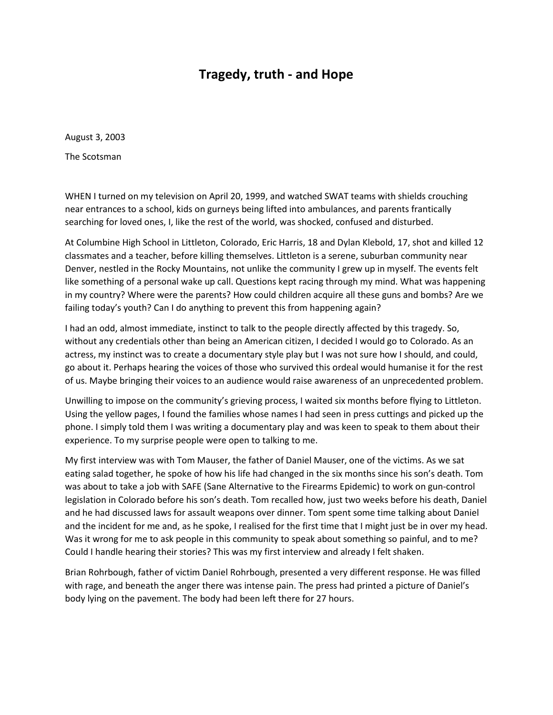## **Tragedy, truth - and Hope**

August 3, 2003

The Scotsman

WHEN I turned on my television on April 20, 1999, and watched SWAT teams with shields crouching near entrances to a school, kids on gurneys being lifted into ambulances, and parents frantically searching for loved ones, I, like the rest of the world, was shocked, confused and disturbed.

At Columbine High School in Littleton, Colorado, Eric Harris, 18 and Dylan Klebold, 17, shot and killed 12 classmates and a teacher, before killing themselves. Littleton is a serene, suburban community near Denver, nestled in the Rocky Mountains, not unlike the community I grew up in myself. The events felt like something of a personal wake up call. Questions kept racing through my mind. What was happening in my country? Where were the parents? How could children acquire all these guns and bombs? Are we failing today's youth? Can I do anything to prevent this from happening again?

I had an odd, almost immediate, instinct to talk to the people directly affected by this tragedy. So, without any credentials other than being an American citizen, I decided I would go to Colorado. As an actress, my instinct was to create a documentary style play but I was not sure how I should, and could, go about it. Perhaps hearing the voices of those who survived this ordeal would humanise it for the rest of us. Maybe bringing their voices to an audience would raise awareness of an unprecedented problem.

Unwilling to impose on the community's grieving process, I waited six months before flying to Littleton. Using the yellow pages, I found the families whose names I had seen in press cuttings and picked up the phone. I simply told them I was writing a documentary play and was keen to speak to them about their experience. To my surprise people were open to talking to me.

My first interview was with Tom Mauser, the father of Daniel Mauser, one of the victims. As we sat eating salad together, he spoke of how his life had changed in the six months since his son's death. Tom was about to take a job with SAFE (Sane Alternative to the Firearms Epidemic) to work on gun-control legislation in Colorado before his son's death. Tom recalled how, just two weeks before his death, Daniel and he had discussed laws for assault weapons over dinner. Tom spent some time talking about Daniel and the incident for me and, as he spoke, I realised for the first time that I might just be in over my head. Was it wrong for me to ask people in this community to speak about something so painful, and to me? Could I handle hearing their stories? This was my first interview and already I felt shaken.

Brian Rohrbough, father of victim Daniel Rohrbough, presented a very different response. He was filled with rage, and beneath the anger there was intense pain. The press had printed a picture of Daniel's body lying on the pavement. The body had been left there for 27 hours.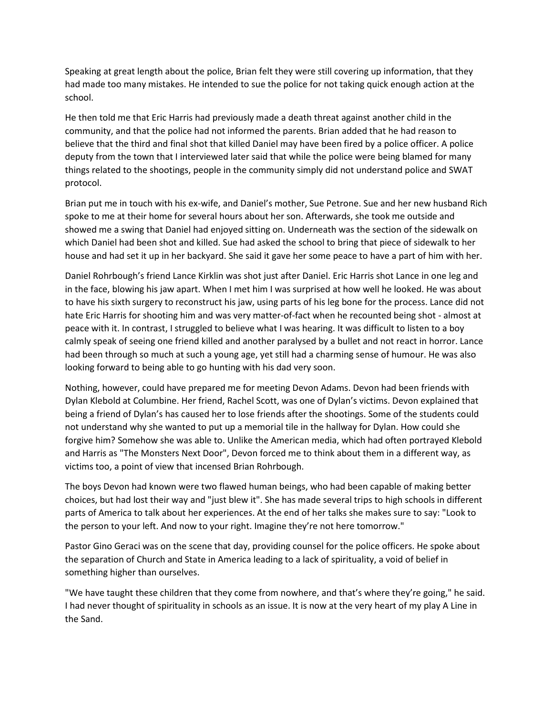Speaking at great length about the police, Brian felt they were still covering up information, that they had made too many mistakes. He intended to sue the police for not taking quick enough action at the school.

He then told me that Eric Harris had previously made a death threat against another child in the community, and that the police had not informed the parents. Brian added that he had reason to believe that the third and final shot that killed Daniel may have been fired by a police officer. A police deputy from the town that I interviewed later said that while the police were being blamed for many things related to the shootings, people in the community simply did not understand police and SWAT protocol.

Brian put me in touch with his ex-wife, and Daniel's mother, Sue Petrone. Sue and her new husband Rich spoke to me at their home for several hours about her son. Afterwards, she took me outside and showed me a swing that Daniel had enjoyed sitting on. Underneath was the section of the sidewalk on which Daniel had been shot and killed. Sue had asked the school to bring that piece of sidewalk to her house and had set it up in her backyard. She said it gave her some peace to have a part of him with her.

Daniel Rohrbough's friend Lance Kirklin was shot just after Daniel. Eric Harris shot Lance in one leg and in the face, blowing his jaw apart. When I met him I was surprised at how well he looked. He was about to have his sixth surgery to reconstruct his jaw, using parts of his leg bone for the process. Lance did not hate Eric Harris for shooting him and was very matter-of-fact when he recounted being shot - almost at peace with it. In contrast, I struggled to believe what I was hearing. It was difficult to listen to a boy calmly speak of seeing one friend killed and another paralysed by a bullet and not react in horror. Lance had been through so much at such a young age, yet still had a charming sense of humour. He was also looking forward to being able to go hunting with his dad very soon.

Nothing, however, could have prepared me for meeting Devon Adams. Devon had been friends with Dylan Klebold at Columbine. Her friend, Rachel Scott, was one of Dylan's victims. Devon explained that being a friend of Dylan's has caused her to lose friends after the shootings. Some of the students could not understand why she wanted to put up a memorial tile in the hallway for Dylan. How could she forgive him? Somehow she was able to. Unlike the American media, which had often portrayed Klebold and Harris as "The Monsters Next Door", Devon forced me to think about them in a different way, as victims too, a point of view that incensed Brian Rohrbough.

The boys Devon had known were two flawed human beings, who had been capable of making better choices, but had lost their way and "just blew it". She has made several trips to high schools in different parts of America to talk about her experiences. At the end of her talks she makes sure to say: "Look to the person to your left. And now to your right. Imagine they're not here tomorrow."

Pastor Gino Geraci was on the scene that day, providing counsel for the police officers. He spoke about the separation of Church and State in America leading to a lack of spirituality, a void of belief in something higher than ourselves.

"We have taught these children that they come from nowhere, and that's where they're going," he said. I had never thought of spirituality in schools as an issue. It is now at the very heart of my play A Line in the Sand.